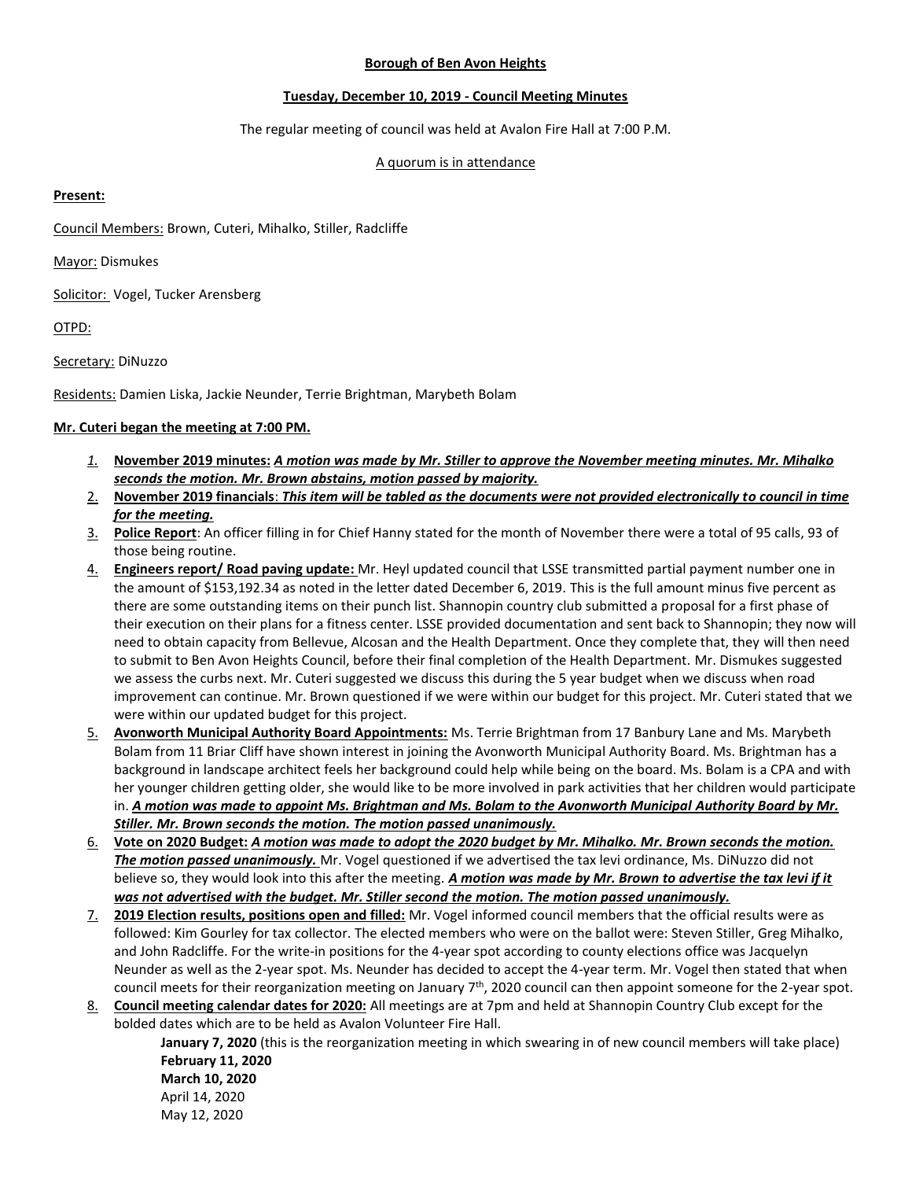#### **Borough of Ben Avon Heights**

### **Tuesday, December 10, 2019 - Council Meeting Minutes**

The regular meeting of council was held at Avalon Fire Hall at 7:00 P.M.

## A quorum is in attendance

### **Present:**

Council Members: Brown, Cuteri, Mihalko, Stiller, Radcliffe

Mayor: Dismukes

Solicitor: Vogel, Tucker Arensberg

OTPD:

Secretary: DiNuzzo

Residents: Damien Liska, Jackie Neunder, Terrie Brightman, Marybeth Bolam

# **Mr. Cuteri began the meeting at 7:00 PM.**

- *1.* **November 2019 minutes:** *A motion was made by Mr. Stiller to approve the November meeting minutes. Mr. Mihalko seconds the motion. Mr. Brown abstains, motion passed by majority.*
- 2. **November 2019 financials**: *This item will be tabled as the documents were not provided electronically to council in time for the meeting.*
- 3. **Police Report**: An officer filling in for Chief Hanny stated for the month of November there were a total of 95 calls, 93 of those being routine.
- 4. **Engineers report/ Road paving update:** Mr. Heyl updated council that LSSE transmitted partial payment number one in the amount of \$153,192.34 as noted in the letter dated December 6, 2019. This is the full amount minus five percent as there are some outstanding items on their punch list. Shannopin country club submitted a proposal for a first phase of their execution on their plans for a fitness center. LSSE provided documentation and sent back to Shannopin; they now will need to obtain capacity from Bellevue, Alcosan and the Health Department. Once they complete that, they will then need to submit to Ben Avon Heights Council, before their final completion of the Health Department. Mr. Dismukes suggested we assess the curbs next. Mr. Cuteri suggested we discuss this during the 5 year budget when we discuss when road improvement can continue. Mr. Brown questioned if we were within our budget for this project. Mr. Cuteri stated that we were within our updated budget for this project.
- 5. **Avonworth Municipal Authority Board Appointments:** Ms. Terrie Brightman from 17 Banbury Lane and Ms. Marybeth Bolam from 11 Briar Cliff have shown interest in joining the Avonworth Municipal Authority Board. Ms. Brightman has a background in landscape architect feels her background could help while being on the board. Ms. Bolam is a CPA and with her younger children getting older, she would like to be more involved in park activities that her children would participate in. *A motion was made to appoint Ms. Brightman and Ms. Bolam to the Avonworth Municipal Authority Board by Mr. Stiller. Mr. Brown seconds the motion. The motion passed unanimously.*
- 6. **Vote on 2020 Budget:** *A motion was made to adopt the 2020 budget by Mr. Mihalko. Mr. Brown seconds the motion. The motion passed unanimously.* Mr. Vogel questioned if we advertised the tax levi ordinance, Ms. DiNuzzo did not believe so, they would look into this after the meeting. *A motion was made by Mr. Brown to advertise the tax levi if it was not advertised with the budget. Mr. Stiller second the motion. The motion passed unanimously.*
- 7. **2019 Election results, positions open and filled:** Mr. Vogel informed council members that the official results were as followed: Kim Gourley for tax collector. The elected members who were on the ballot were: Steven Stiller, Greg Mihalko, and John Radcliffe. For the write-in positions for the 4-year spot according to county elections office was Jacquelyn Neunder as well as the 2-year spot. Ms. Neunder has decided to accept the 4-year term. Mr. Vogel then stated that when council meets for their reorganization meeting on January  $7<sup>th</sup>$ , 2020 council can then appoint someone for the 2-year spot.
- 8. **Council meeting calendar dates for 2020:** All meetings are at 7pm and held at Shannopin Country Club except for the bolded dates which are to be held as Avalon Volunteer Fire Hall.

**January 7, 2020** (this is the reorganization meeting in which swearing in of new council members will take place) **February 11, 2020 March 10, 2020**

April 14, 2020 May 12, 2020